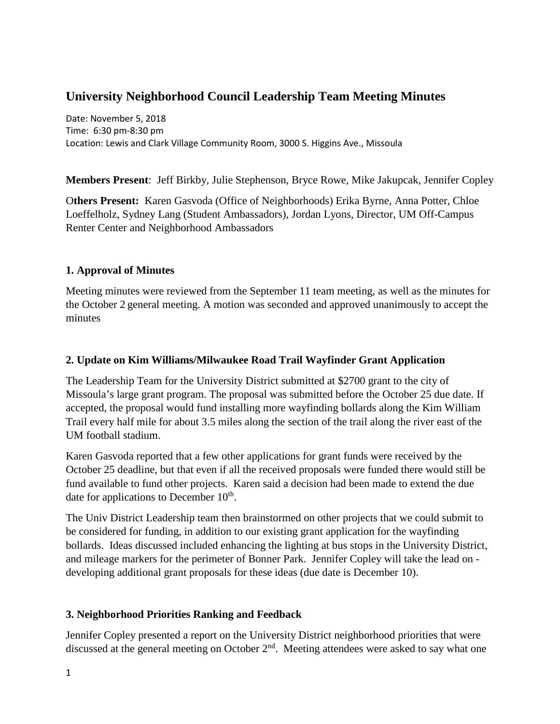# **University Neighborhood Council Leadership Team Meeting Minutes**

Date: November 5, 2018 Time: 6:30 pm-8:30 pm Location: Lewis and Clark Village Community Room, 3000 S. Higgins Ave., Missoula

**Members Present**: Jeff Birkby, Julie Stephenson, Bryce Rowe, Mike Jakupcak, Jennifer Copley

O**thers Present:** Karen Gasvoda (Office of Neighborhoods) Erika Byrne, Anna Potter, Chloe Loeffelholz, Sydney Lang (Student Ambassadors), Jordan Lyons, Director, UM Off-Campus Renter Center and Neighborhood Ambassadors

#### **1. Approval of Minutes**

Meeting minutes were reviewed from the September 11 team meeting, as well as the minutes for the October 2 general meeting. A motion was seconded and approved unanimously to accept the minutes

#### **2. Update on Kim Williams/Milwaukee Road Trail Wayfinder Grant Application**

The Leadership Team for the University District submitted at \$2700 grant to the city of Missoula's large grant program. The proposal was submitted before the October 25 due date. If accepted, the proposal would fund installing more wayfinding bollards along the Kim William Trail every half mile for about 3.5 miles along the section of the trail along the river east of the UM football stadium.

Karen Gasvoda reported that a few other applications for grant funds were received by the October 25 deadline, but that even if all the received proposals were funded there would still be fund available to fund other projects. Karen said a decision had been made to extend the due date for applications to December  $10<sup>th</sup>$ .

The Univ District Leadership team then brainstormed on other projects that we could submit to be considered for funding, in addition to our existing grant application for the wayfinding bollards. Ideas discussed included enhancing the lighting at bus stops in the University District, and mileage markers for the perimeter of Bonner Park. Jennifer Copley will take the lead on developing additional grant proposals for these ideas (due date is December 10).

## **3. Neighborhood Priorities Ranking and Feedback**

Jennifer Copley presented a report on the University District neighborhood priorities that were discussed at the general meeting on October  $2<sup>nd</sup>$ . Meeting attendees were asked to say what one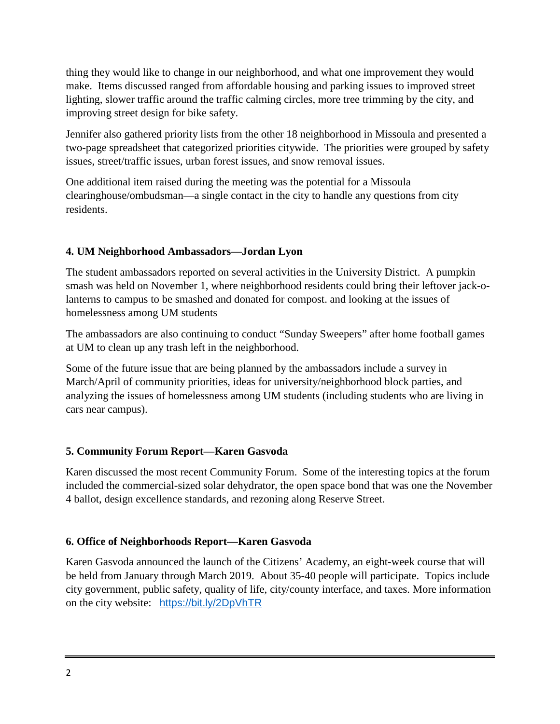thing they would like to change in our neighborhood, and what one improvement they would make. Items discussed ranged from affordable housing and parking issues to improved street lighting, slower traffic around the traffic calming circles, more tree trimming by the city, and improving street design for bike safety.

Jennifer also gathered priority lists from the other 18 neighborhood in Missoula and presented a two-page spreadsheet that categorized priorities citywide. The priorities were grouped by safety issues, street/traffic issues, urban forest issues, and snow removal issues.

One additional item raised during the meeting was the potential for a Missoula clearinghouse/ombudsman—a single contact in the city to handle any questions from city residents.

## **4. UM Neighborhood Ambassadors—Jordan Lyon**

The student ambassadors reported on several activities in the University District. A pumpkin smash was held on November 1, where neighborhood residents could bring their leftover jack-olanterns to campus to be smashed and donated for compost. and looking at the issues of homelessness among UM students

The ambassadors are also continuing to conduct "Sunday Sweepers" after home football games at UM to clean up any trash left in the neighborhood.

Some of the future issue that are being planned by the ambassadors include a survey in March/April of community priorities, ideas for university/neighborhood block parties, and analyzing the issues of homelessness among UM students (including students who are living in cars near campus).

## **5. Community Forum Report—Karen Gasvoda**

Karen discussed the most recent Community Forum. Some of the interesting topics at the forum included the commercial-sized solar dehydrator, the open space bond that was one the November 4 ballot, design excellence standards, and rezoning along Reserve Street.

## **6. Office of Neighborhoods Report—Karen Gasvoda**

Karen Gasvoda announced the launch of the Citizens' Academy, an eight-week course that will be held from January through March 2019. About 35-40 people will participate. Topics include city government, public safety, quality of life, city/county interface, and taxes. More information on the city website: <https://bit.ly/2DpVhTR>